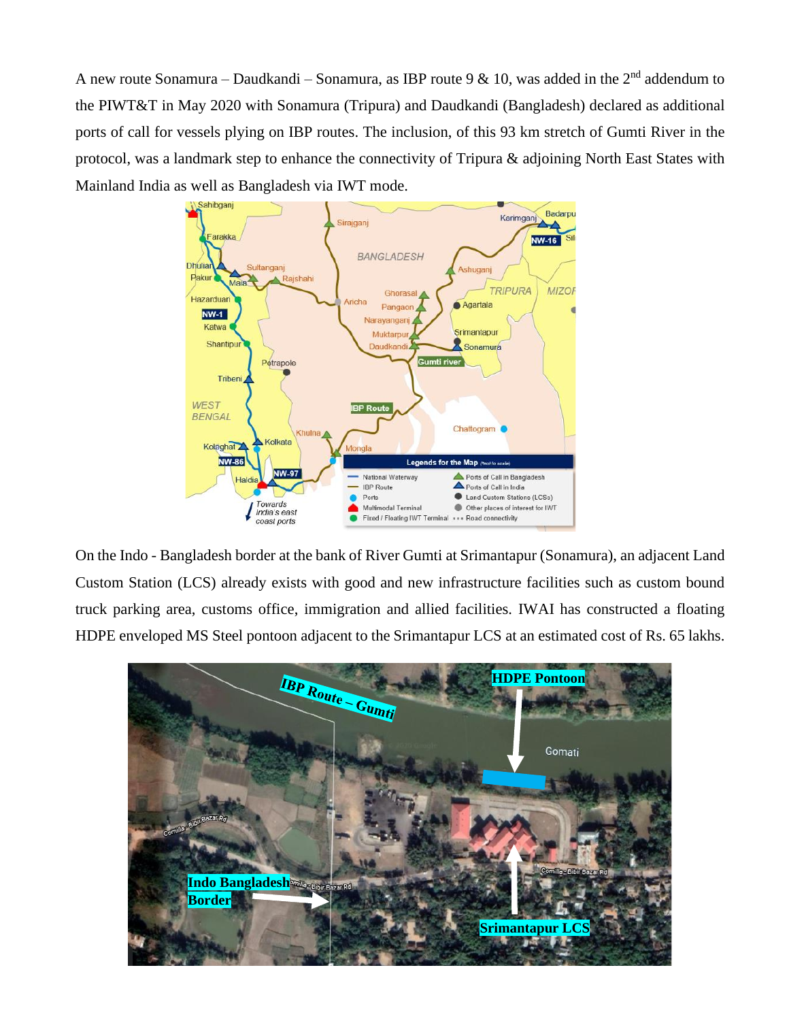A new route Sonamura – Daudkandi – Sonamura, as IBP route 9 & 10, was added in the 2<sup>nd</sup> addendum to the PIWT&T in May 2020 with Sonamura (Tripura) and Daudkandi (Bangladesh) declared as additional ports of call for vessels plying on IBP routes. The inclusion, of this 93 km stretch of Gumti River in the protocol, was a landmark step to enhance the connectivity of Tripura & adjoining North East States with Mainland India as well as Bangladesh via IWT mode.



On the Indo - Bangladesh border at the bank of River Gumti at Srimantapur (Sonamura), an adjacent Land Custom Station (LCS) already exists with good and new infrastructure facilities such as custom bound truck parking area, customs office, immigration and allied facilities. IWAI has constructed a floating HDPE enveloped MS Steel pontoon adjacent to the Srimantapur LCS at an estimated cost of Rs. 65 lakhs.